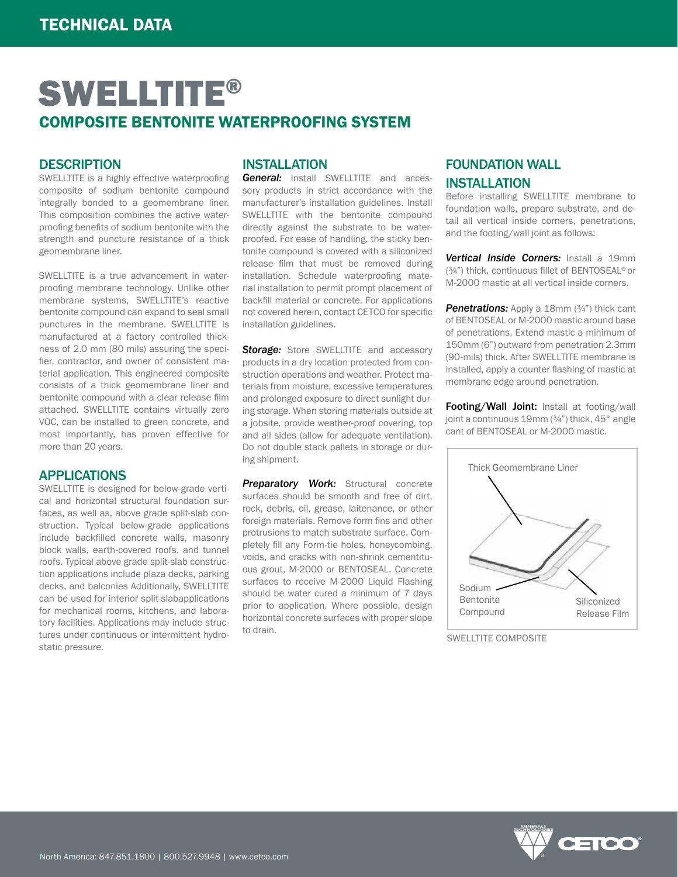## **DESCRIPTION**

SWELLTITE is a highly effective waterproofing composite of sodium bentonite compound integrally bonded to a geomembrane liner. This composition combines the active waterproofing benefits of sodium bentonite with the strength and puncture resistance of a thick geomembrane liner.

SWELLTITE is a true advancement in waterproofing membrane technology. Unlike other membrane systems, SWELLTITE's reactive bentonite compound can expand to seal small punctures in the membrane. SWELLTITE is manufactured at a factory controlled thickness of 2.0 mm (80 mils) assuring the specifier, contractor, and owner of consistent material application. This engineered composite consists of a thick geomembrane liner and bentonite compound with a clear release film attached. SWELLTITE contains virtually zero VOC, can be installed to green concrete, and most importantly, has proven effective for more than 20 years.

### APPLICATIONS

SWELLTITE is designed for below-grade vertical and horizontal structural foundation surfaces, as well as, above grade split-slab construction. Typical below-grade applications include backfilled concrete walls, masonry block walls, earth-covered roofs, and tunnel roofs. Typical above grade split-slab construction applications include plaza decks, parking decks, and balconies Additionally, SWELLTITE can be used for interior split-slabapplications for mechanical rooms, kitchens, and laboratory facilities. Applications may include structures under continuous or intermittent hydrostatic pressure.

### INSTALLATION

*General:* Install SWELLTITE and accessory products in strict accordance with the manufacturer's installation guidelines. Install SWELLTITE with the bentonite compound directly against the substrate to be waterproofed. For ease of handling, the sticky bentonite compound is covered with a siliconized release film that must be removed during installation. Schedule waterproofing material installation to permit prompt placement of backfill material or concrete. For applications not covered herein, contact CETCO for specific installation guidelines.

**Storage:** Store SWELLTITE and accessory products in a dry location protected from construction operations and weather. Protect materials from moisture, excessive temperatures and prolonged exposure to direct sunlight during storage. When storing materials outside at a jobsite, provide weather-proof covering, top and all sides (allow for adequate ventilation). Do not double stack pallets in storage or during shipment.

**Preparatory Work:** Structural concrete surfaces should be smooth and free of dirt, rock, debris, oil, grease, laitenance, or other foreign materials. Remove form fins and other protrusions to match substrate surface. Completely fill any Form-tie holes, honeycombing, voids, and cracks with non-shrink cementituous grout, M-2000 or BENTOSEAL. Concrete surfaces to receive M-2000 Liquid Flashing should be water cured a minimum of 7 days prior to application. Where possible, design horizontal concrete surfaces with proper slope to drain.

# FOUNDATION WALL **INSTALLATION**

Before installing SWELLTITE membrane to foundation walls, prepare substrate, and detail all vertical inside corners, penetrations, and the footing/wall joint as follows:

*Vertical Inside Corners:* Install a 19mm (¾") thick, continuous fillet of BENTOSEAL® or M-2000 mastic at all vertical inside corners.

**Penetrations:** Apply a 18mm (3/4") thick cant of BENTOSEAL or M-2000 mastic around base of penetrations. Extend mastic a minimum of 150mm (6") outward from penetration 2.3mm (90-mils) thick. After SWELLTITE membrane is installed, apply a counter flashing of mastic at membrane edge around penetration.

Footing/Wall Joint: Install at footing/wall joint a continuous 19mm (¾") thick, 45° angle cant of BENTOSEAL or M-2000 mastic.



SWELLTITE COMPOSITE

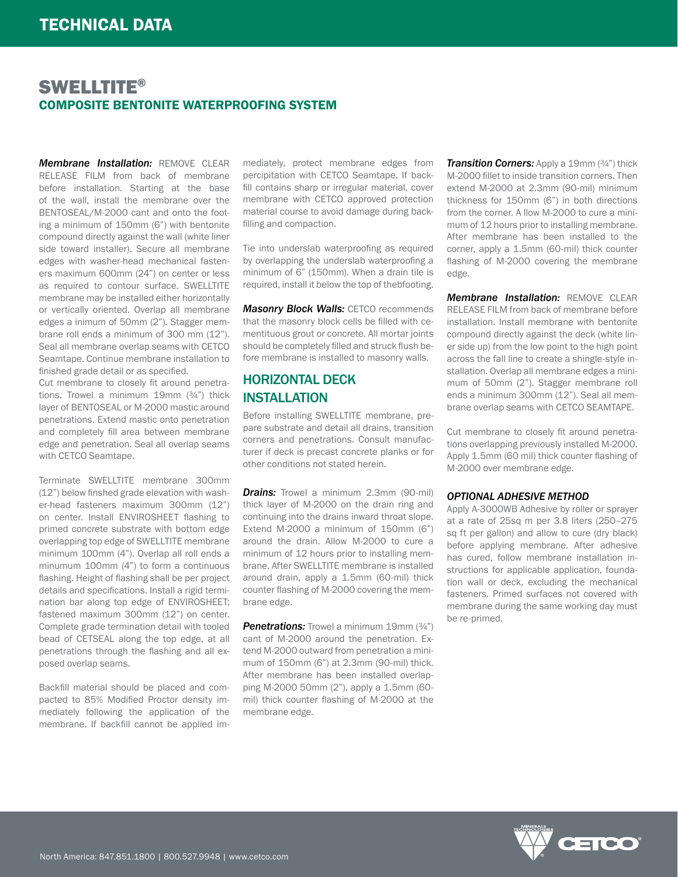*Membrane Installation:* REMOVE CLEAR RELEASE FILM from back of membrane before installation. Starting at the base of the wall, install the membrane over the BENTOSEAL/M-2000 cant and onto the footing a minimum of 150mm (6") with bentonite compound directly against the wall (white liner side toward installer). Secure all membrane edges with washer-head mechanical fasteners maximum 600mm (24") on center or less as required to contour surface. SWELLTITE membrane may be installed either horizontally or vertically oriented. Overlap all membrane edges a inimum of 50mm (2"). Stagger membrane roll ends a minimum of 300 mm (12"). Seal all membrane overlap seams with CETCO Seamtape. Continue membrane installation to finished grade detail or as specified.

Cut membrane to closely fit around penetrations. Trowel a minimum 19mm (3/4") thick layer of BENTOSEAL or M-2000 mastic around penetrations. Extend mastic onto penetration and completely fill area between membrane edge and penetration. Seal all overlap seams with CETCO Seamtape.

Terminate SWELLTITE membrane 300mm (12") below finshed grade elevation with washer-head fasteners maximum 300mm (12") on center. Install ENVIROSHEET flashing to primed concrete substrate with bottom edge overlapping top edge of SWELLTITE membrane minimum 100mm (4"). Overlap all roll ends a minumum 100mm (4") to form a continuous flashing. Height of flashing shall be per project details and specifications. Install a rigid termination bar along top edge of ENVIROSHEET; fastened maximum 300mm (12") on center. Complete grade termination detail with tooled bead of CETSEAL along the top edge, at all penetrations through the flashing and all exposed overlap seams.

Backfill material should be placed and compacted to 85% Modified Proctor density immediately following the application of the membrane. If backfill cannot be applied im-

mediately, protect membrane edges from percipitation with CETCO Seamtape. If backfill contains sharp or irregular material, cover membrane with CETCO approved protection material course to avoid damage during backfilling and compaction.

Tie into underslab waterproofing as required by overlapping the underslab waterproofing a minimum of 6" (150mm). When a drain tile is required, install it below the top of thebfooting.

*Masonry Block Walls:* CETCO recommends that the masonry block cells be filled with cementituous grout or concrete. All mortar joints should be completely filled and struck flush before membrane is installed to masonry walls.

# HORIZONTAL DECK INSTALLATION

Before installing SWELLTITE membrane, prepare substrate and detail all drains, transition corners and penetrations. Consult manufacturer if deck is precast concrete planks or for other conditions not stated herein.

**Drains:** Trowel a minimum 2.3mm (90-mil) thick layer of M-2000 on the drain ring and continuing into the drains inward throat slope. Extend M-2000 a minimum of 150mm (6") around the drain. Allow M-2000 to cure a minimum of 12 hours prior to installing membrane. After SWELLTITE membrane is installed around drain, apply a 1.5mm (60-mil) thick counter flashing of M-2000 covering the membrane edge.

**Penetrations:** Trowel a minimum 19mm  $(3/4)$ <sup>n</sup>) cant of M-2000 around the penetration. Extend M-2000 outward from penetration a minimum of 150mm (6") at 2.3mm (90-mil) thick. After membrane has been installed overlapping M-2000 50mm (2"), apply a 1.5mm (60 mil) thick counter flashing of M-2000 at the membrane edge.

*Transition Corners: Apply a 19mm (3/4")* thick M-2000 fillet to inside transition corners. Then extend M-2000 at 2.3mm (90-mil) minimum thickness for 150mm (6") in both directions from the corner. A llow M-2000 to cure a minimum of 12 hours prior to installing membrane. After membrane has been installed to the corner, apply a 1.5mm (60-mil) thick counter flashing of M-2000 covering the membrane edge.

*Membrane Installation:* REMOVE CLEAR RELEASE FILM from back of membrane before installation. Install membrane with bentonite compound directly against the deck (white liner side up) from the low point to the high point across the fall line to create a shingle-style installation. Overlap all membrane edges a minimum of 50mm (2"). Stagger membrane roll ends a minimum 300mm (12"). Seal all membrane overlap seams with CETCO SEAMTAPE.

Cut membrane to closely fit around penetrations overlapping previously installed M-2000. Apply 1.5mm (60 mil) thick counter flashing of M-2000 over membrane edge.

#### *OPTIONAL ADHESIVE METHOD*

Apply A-3000WB Adhesive by roller or sprayer at a rate of 25sq m per 3.8 liters (250–275 sq ft per gallon) and allow to cure (dry black) before applying membrane. After adhesive has cured, follow membrane installation instructions for applicable application, foundation wall or deck, excluding the mechanical fasteners. Primed surfaces not covered with membrane during the same working day must be re-primed.

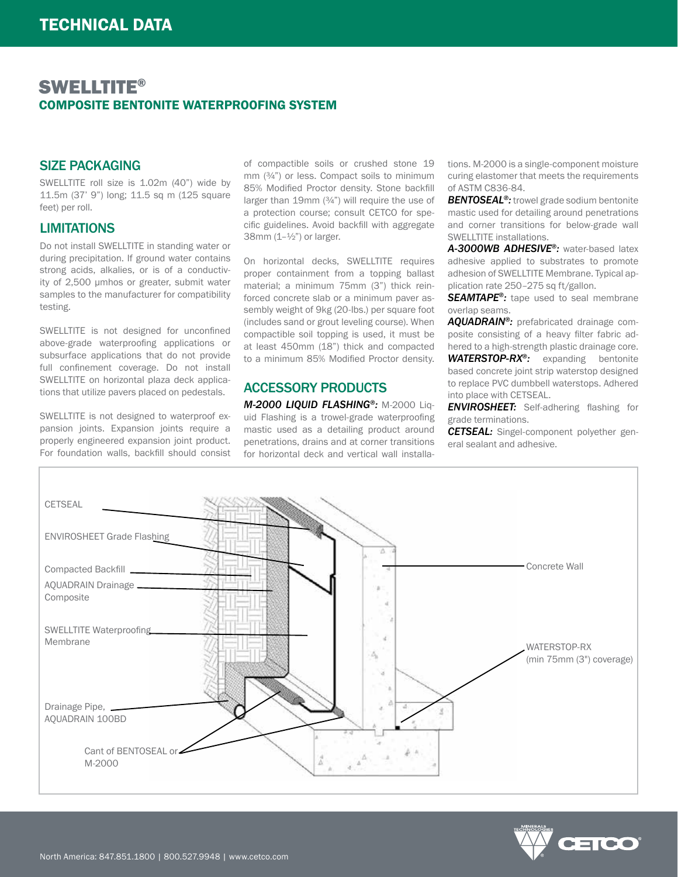### SIZE PACKAGING

SWELLTITE roll size is 1.02m (40") wide by 11.5m (37' 9") long; 11.5 sq m (125 square feet) per roll.

## LIMITATIONS

Do not install SWELLTITE in standing water or during precipitation. If ground water contains strong acids, alkalies, or is of a conductivity of 2,500 μmhos or greater, submit water samples to the manufacturer for compatibility testing.

SWELLTITE is not designed for unconfined above-grade waterproofing applications or subsurface applications that do not provide full confinement coverage. Do not install SWELLTITE on horizontal plaza deck applications that utilize pavers placed on pedestals.

SWELLTITE is not designed to waterproof expansion joints. Expansion joints require a properly engineered expansion joint product. For foundation walls, backfill should consist

of compactible soils or crushed stone 19 mm (¾") or less. Compact soils to minimum 85% Modified Proctor density. Stone backfill larger than 19mm (¾") will require the use of a protection course; consult CETCO for specific guidelines. Avoid backfill with aggregate 38mm  $(1-1/2)$  or larger.

On horizontal decks, SWELLTITE requires proper containment from a topping ballast material; a minimum 75mm (3") thick reinforced concrete slab or a minimum paver assembly weight of 9kg (20-lbs.) per square foot (includes sand or grout leveling course). When compactible soil topping is used, it must be at least 450mm (18") thick and compacted to a minimum 85% Modified Proctor density.

# ACCESSORY PRODUCTS

*M-2000 LIQUID FLASHING®:* M-2000 Liquid Flashing is a trowel-grade waterproofing mastic used as a detailing product around penetrations, drains and at corner transitions for horizontal deck and vertical wall installations. M-2000 is a single-component moisture curing elastomer that meets the requirements of ASTM C836-84.

*BENTOSEAL®:* trowel grade sodium bentonite mastic used for detailing around penetrations and corner transitions for below-grade wall SWELLTITE installations.

*A-3000WB ADHESIVE®:* water-based latex adhesive applied to substrates to promote adhesion of SWELLTITE Membrane. Typical application rate 250–275 sq ft/gallon.

*SEAMTAPE®:* tape used to seal membrane overlap seams.

*AQUADRAIN®:* prefabricated drainage composite consisting of a heavy filter fabric adhered to a high-strength plastic drainage core. WATERSTOP-RX<sup>®</sup>: expanding bentonite based concrete joint strip waterstop designed to replace PVC dumbbell waterstops. Adhered into place with CETSEAL.

**ENVIROSHEET:** Self-adhering flashing for grade terminations.

*CETSEAL:* Singel-component polyether general sealant and adhesive.